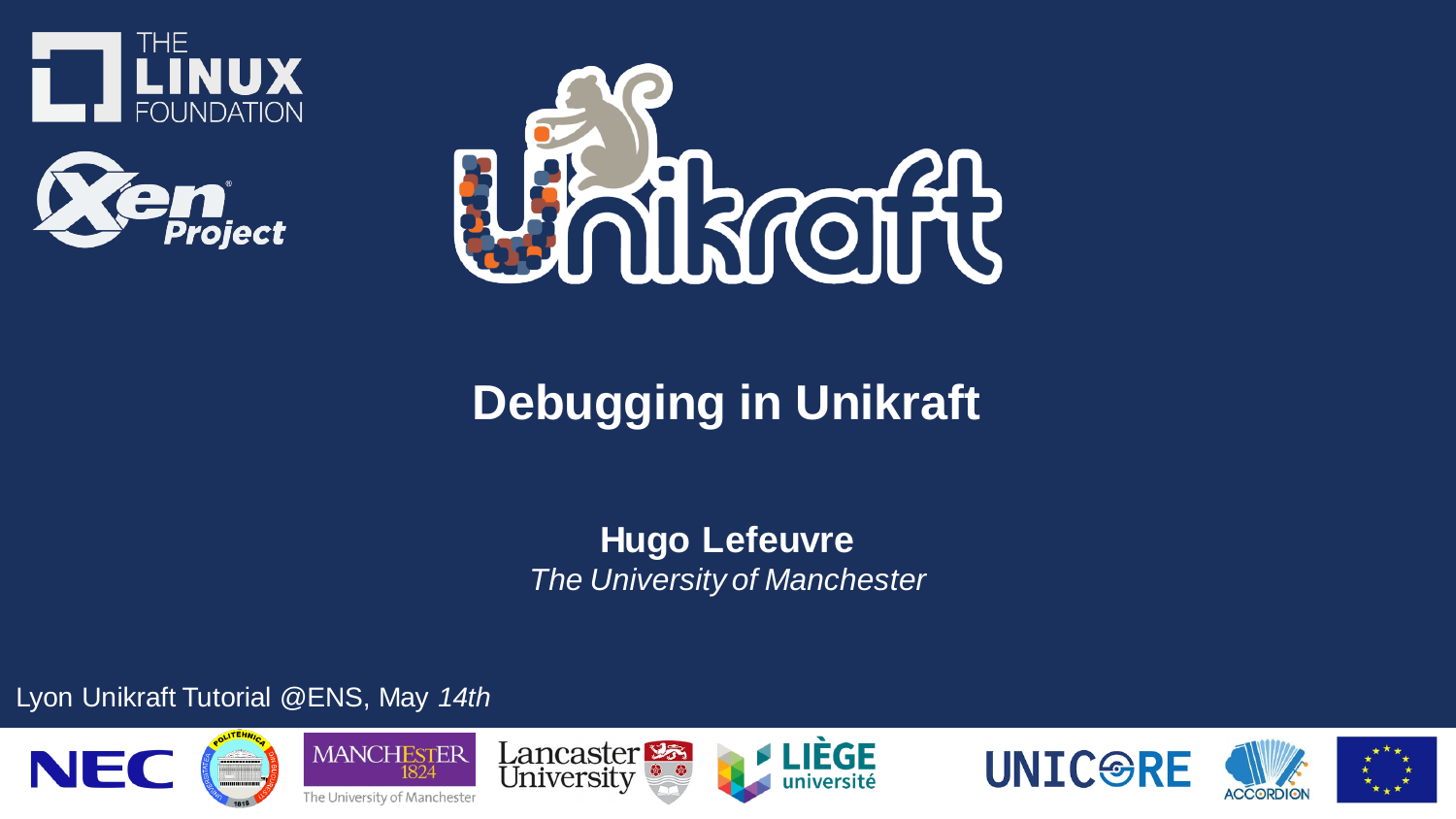





### **Debugging in Unikraft**

**Hugo Lefeuvre** *The University of Manchester*

Lyon Unikraft Tutorial @ENS, May *14th*













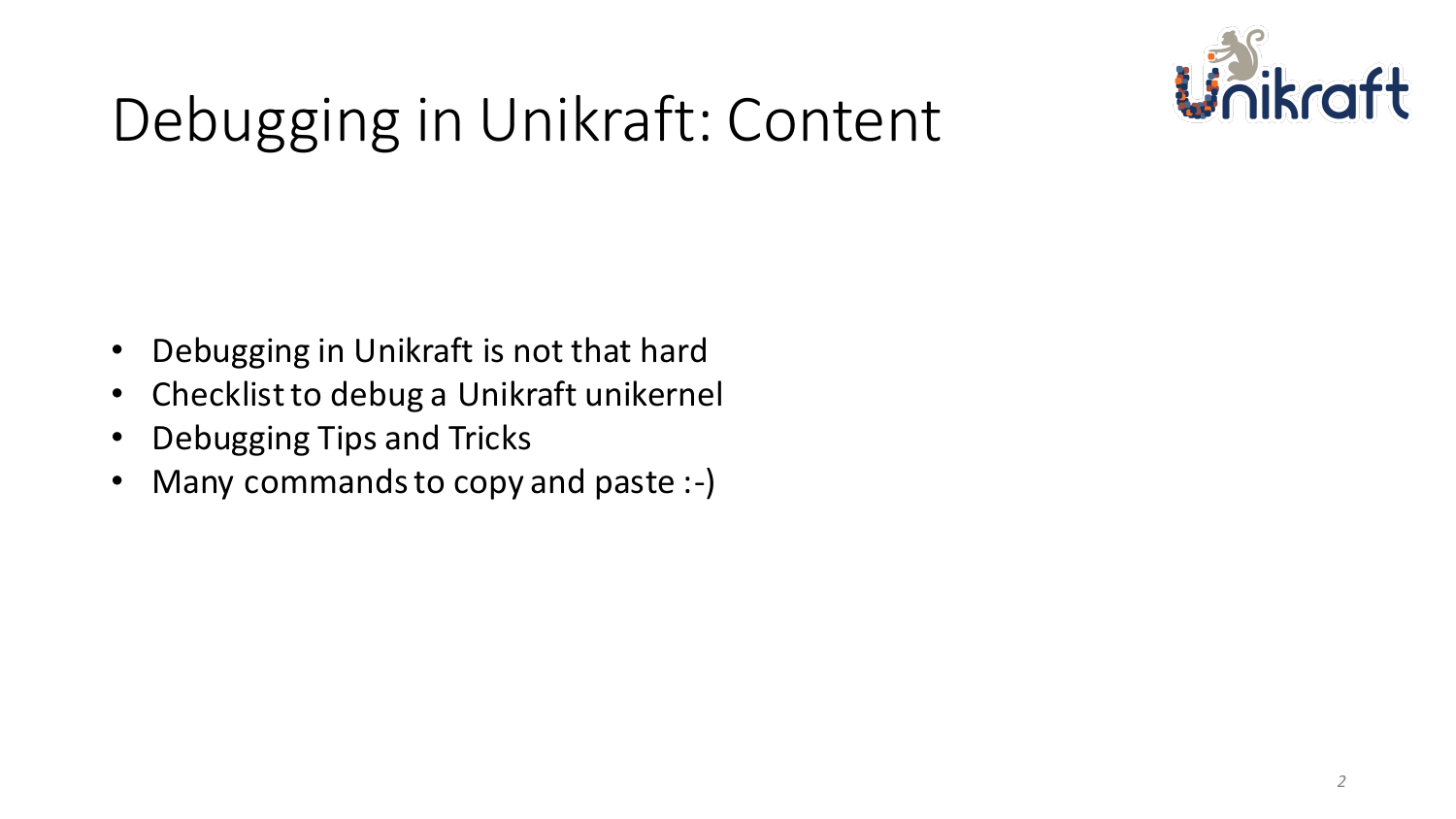

# Debugging in Unikraft: Content

- Debugging in Unikraft is not that hard
- Checklist to debug a Unikraft unikernel
- Debugging Tips and Tricks
- Many commands to copy and paste :-)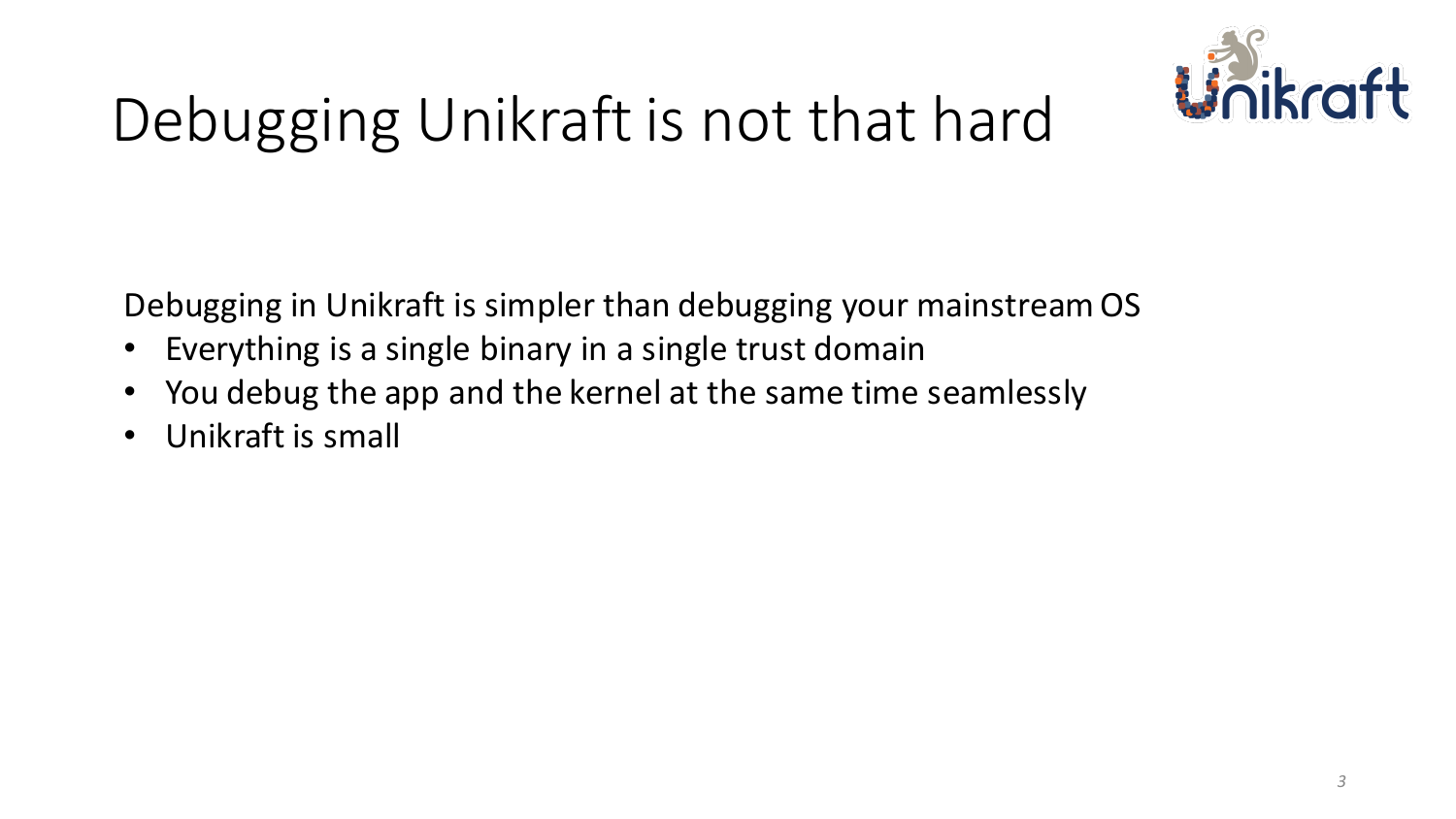

# Debugging Unikraft is not that hard

Debugging in Unikraft is simpler than debugging your mainstream OS

- Everything is a single binary in a single trust domain
- You debug the app and the kernel at the same time seamlessly
- Unikraft is small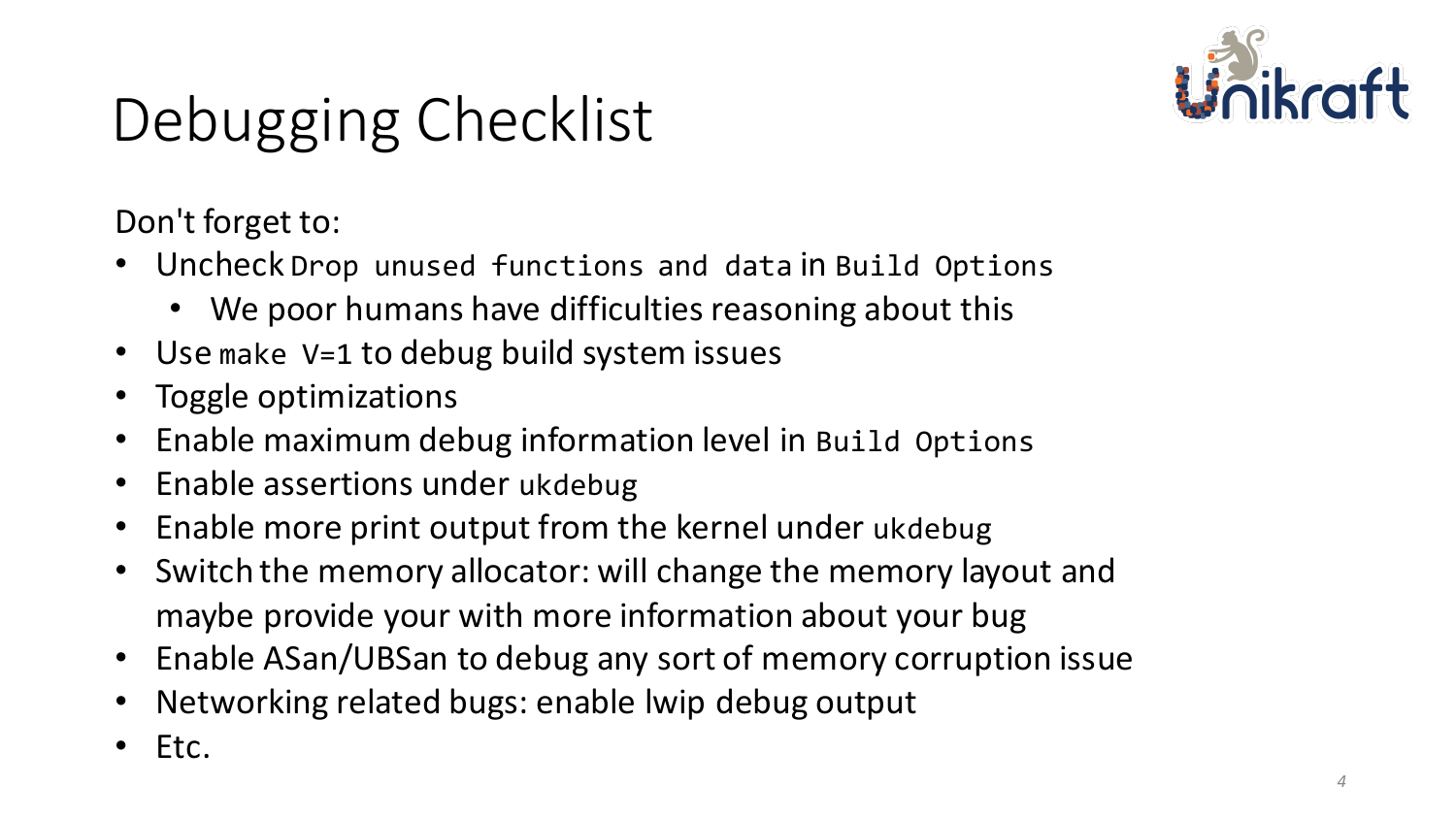

# Debugging Checklist

Don't forget to:

- Uncheck Drop unused functions and data in Build Options
	- We poor humans have difficulties reasoning about this
- Use make V=1 to debug build system issues
- Toggle optimizations
- Enable maximum debug information level in Build Options
- Enable assertions under ukdebug
- Enable more print output from the kernel under ukdebug
- Switch the memory allocator: will change the memory layout and maybe provide your with more information about your bug
- Enable ASan/UBSan to debug any sort of memory corruption issue
- Networking related bugs: enable lwip debug output
- Etc.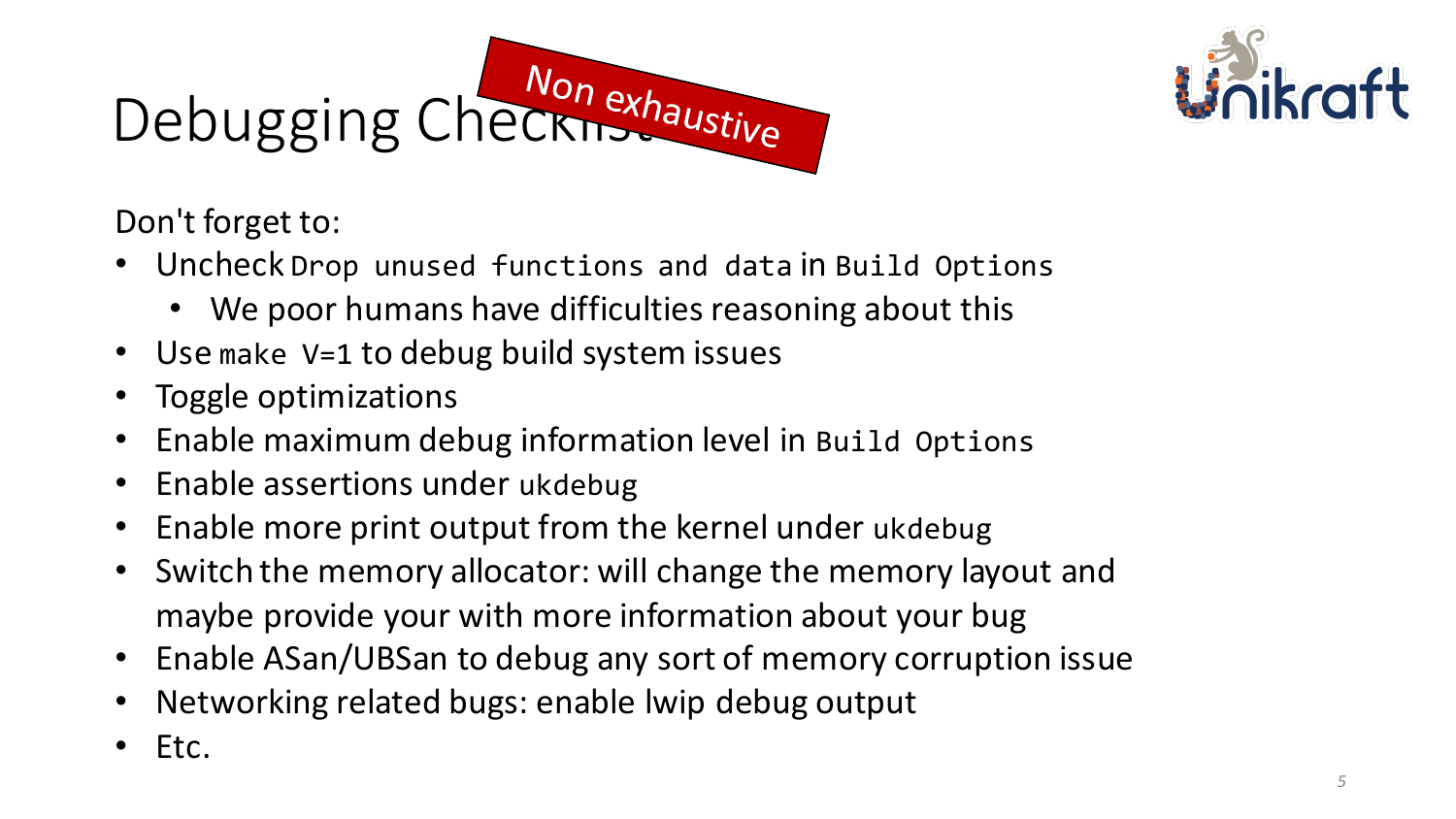# Debugging Checknexhaustive



Don't forget to:

- Uncheck Drop unused functions and data in Build Options
	- We poor humans have difficulties reasoning about this
- Use make V=1 to debug build system issues
- Toggle optimizations
- Enable maximum debug information level in Build Options
- Enable assertions under ukdebug
- Enable more print output from the kernel under ukdebug
- Switch the memory allocator: will change the memory layout and maybe provide your with more information about your bug
- Enable ASan/UBSan to debug any sort of memory corruption issue
- Networking related bugs: enable lwip debug output
- Etc.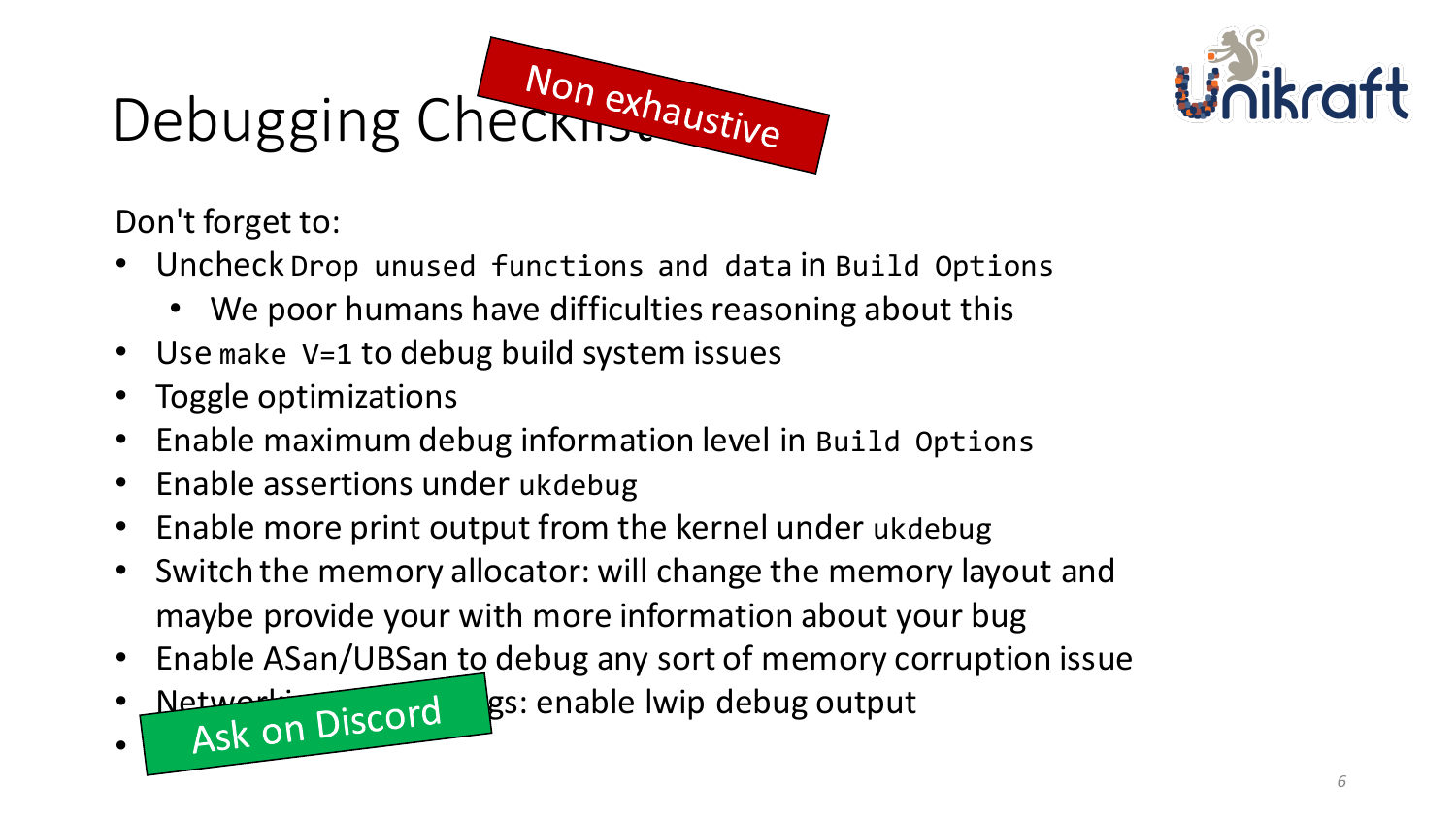# Debugging Checknexhaustive



Don't forget to:

 $\bullet$   $\vdash$   $\mathsf{A}$ 

- Uncheck Drop unused functions and data in Build Options
	- We poor humans have difficulties reasoning about this
- Use make V=1 to debug build system issues
- Toggle optimizations
- Enable maximum debug information level in Build Options
- Enable assertions under ukdebug
- Enable more print output from the kernel under ukdebug
- Switch the memory allocator: will change the memory layout and maybe provide your with more information about your bug
- Enable ASan/UBSan to debug any sort of memory corruption issue
- Networking record gs: enable lwip debug output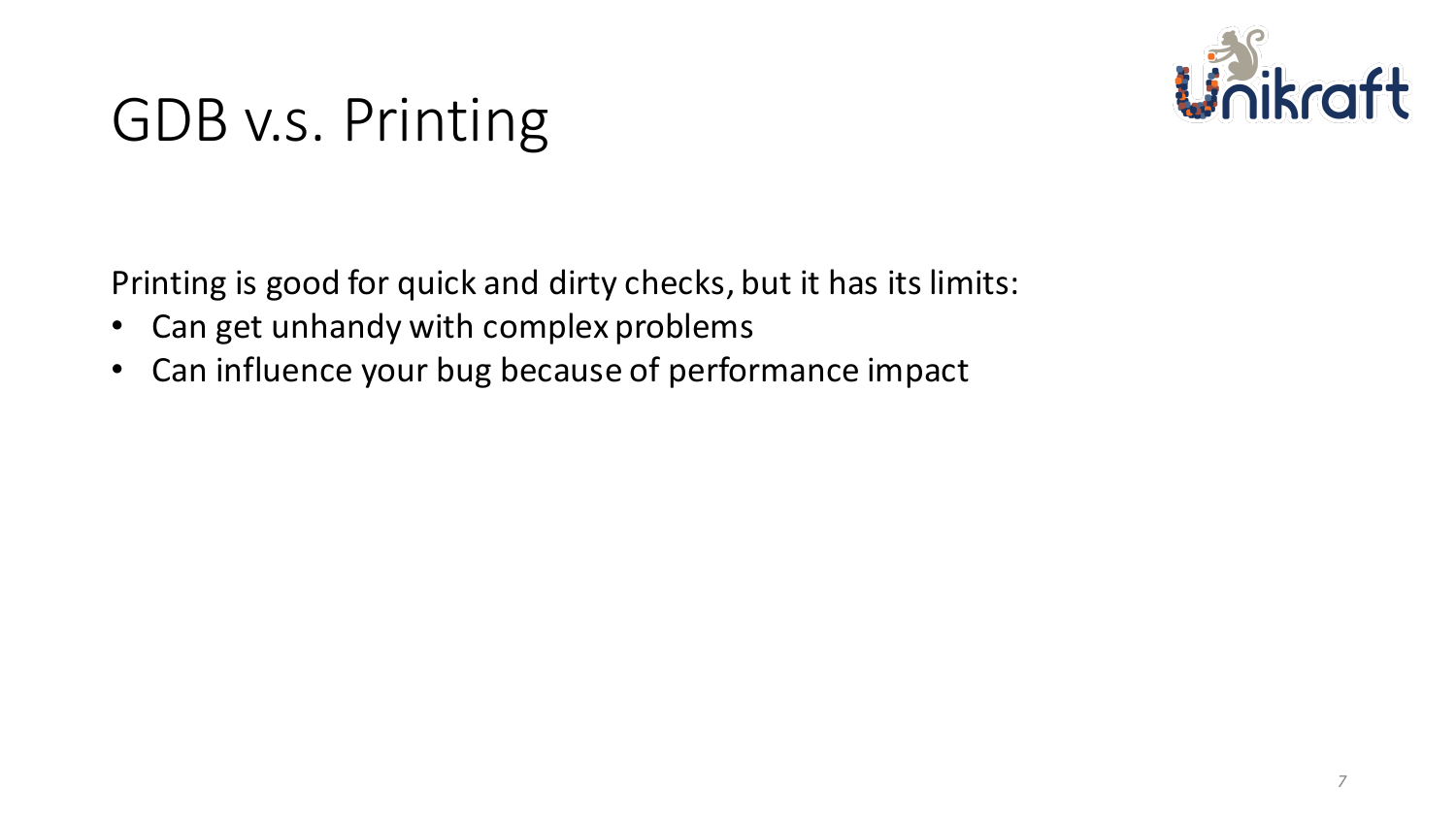

### GDB v.s. Printing

Printing is good for quick and dirty checks, but it has its limits:

- Can get unhandy with complex problems
- Can influence your bug because of performance impact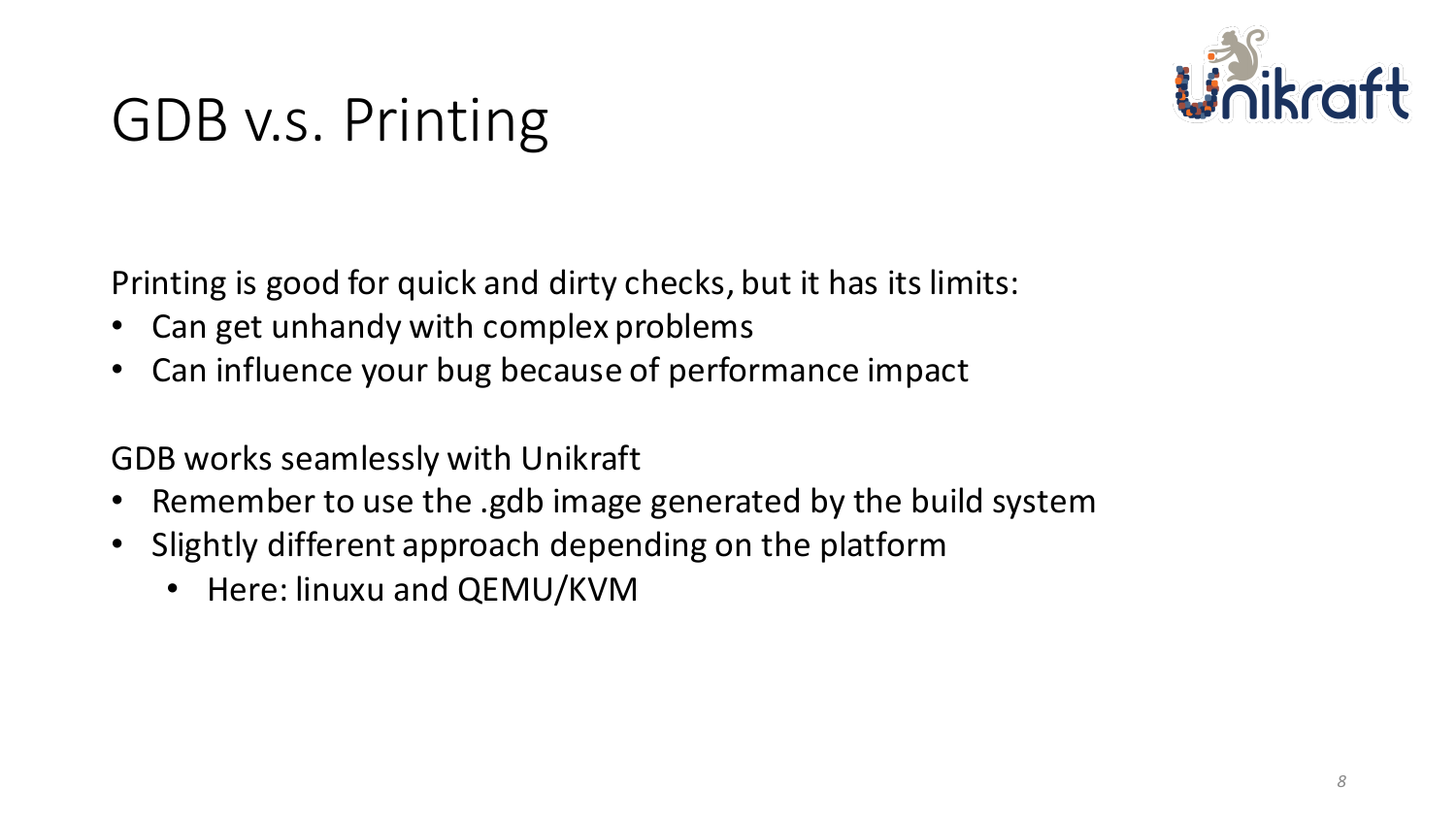

### GDB v.s. Printing

Printing is good for quick and dirty checks, but it has its limits:

- Can get unhandy with complex problems
- Can influence your bug because of performance impact

GDB works seamlessly with Unikraft

- Remember to use the .gdb image generated by the build system
- Slightly different approach depending on the platform
	- Here: linuxu and QEMU/KVM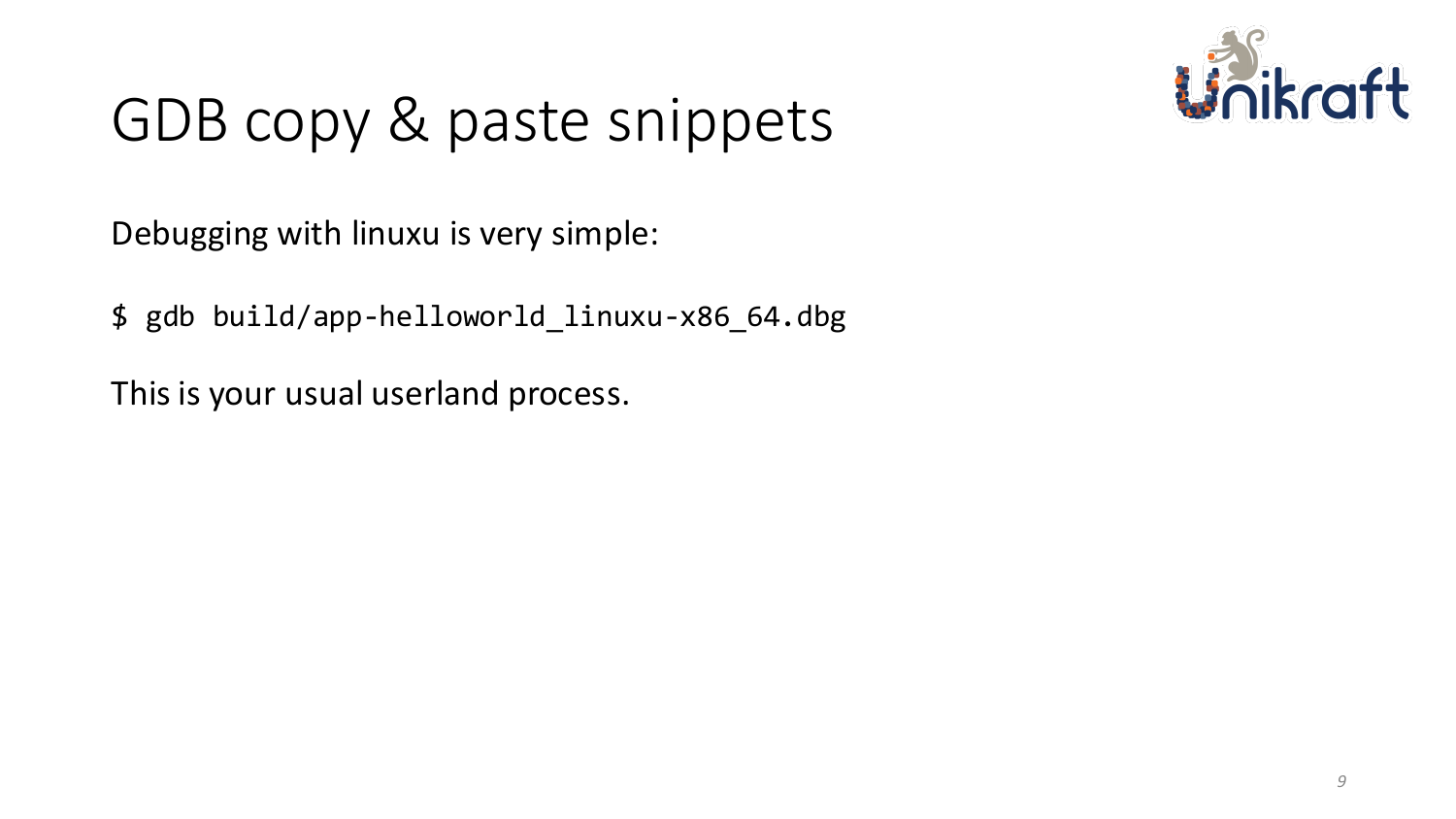

Debugging with linuxu is very simple:

\$ gdb build/app-helloworld\_linuxu-x86\_64.dbg

This is your usual userland process.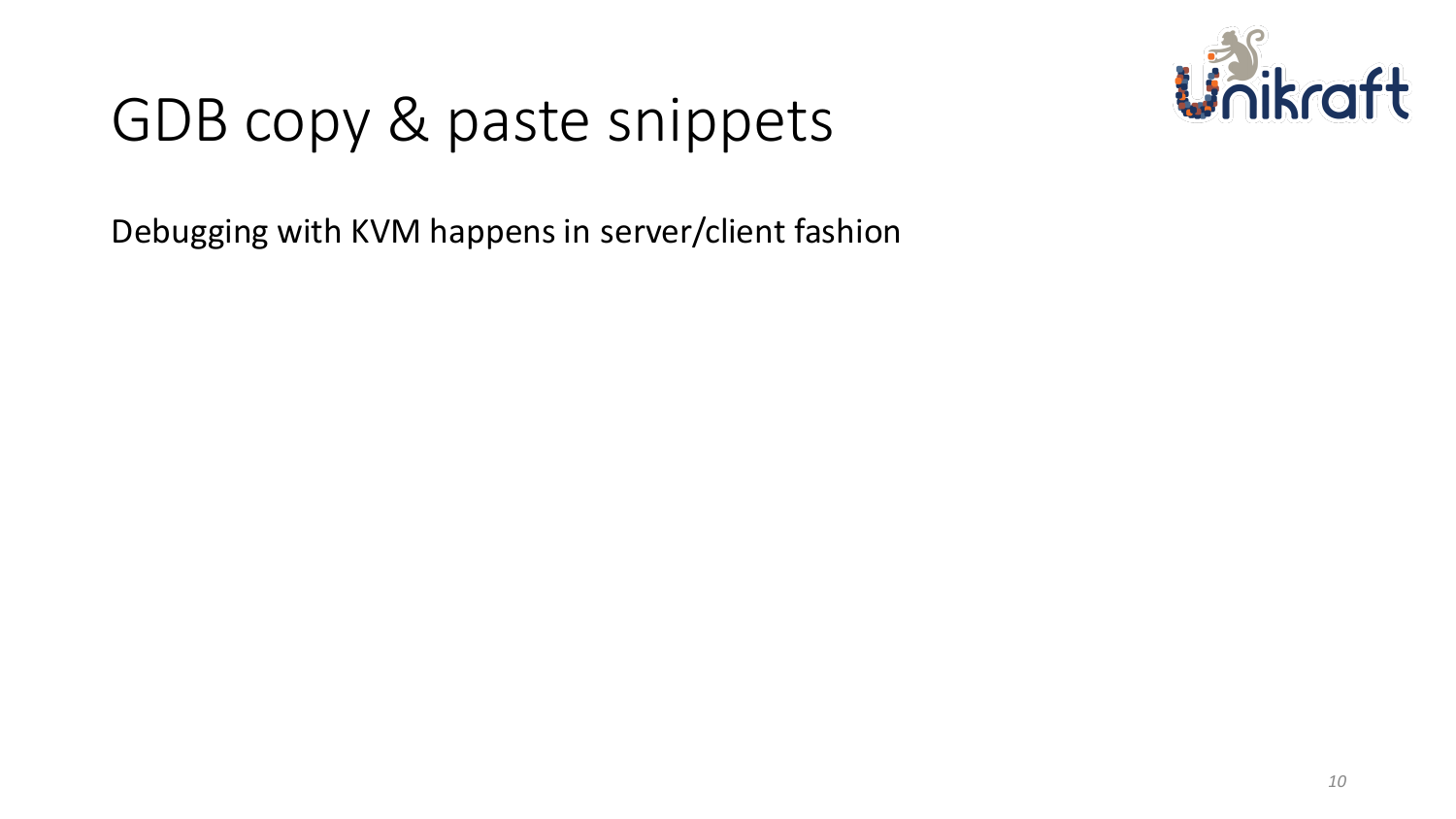

Debugging with KVM happens in server/client fashion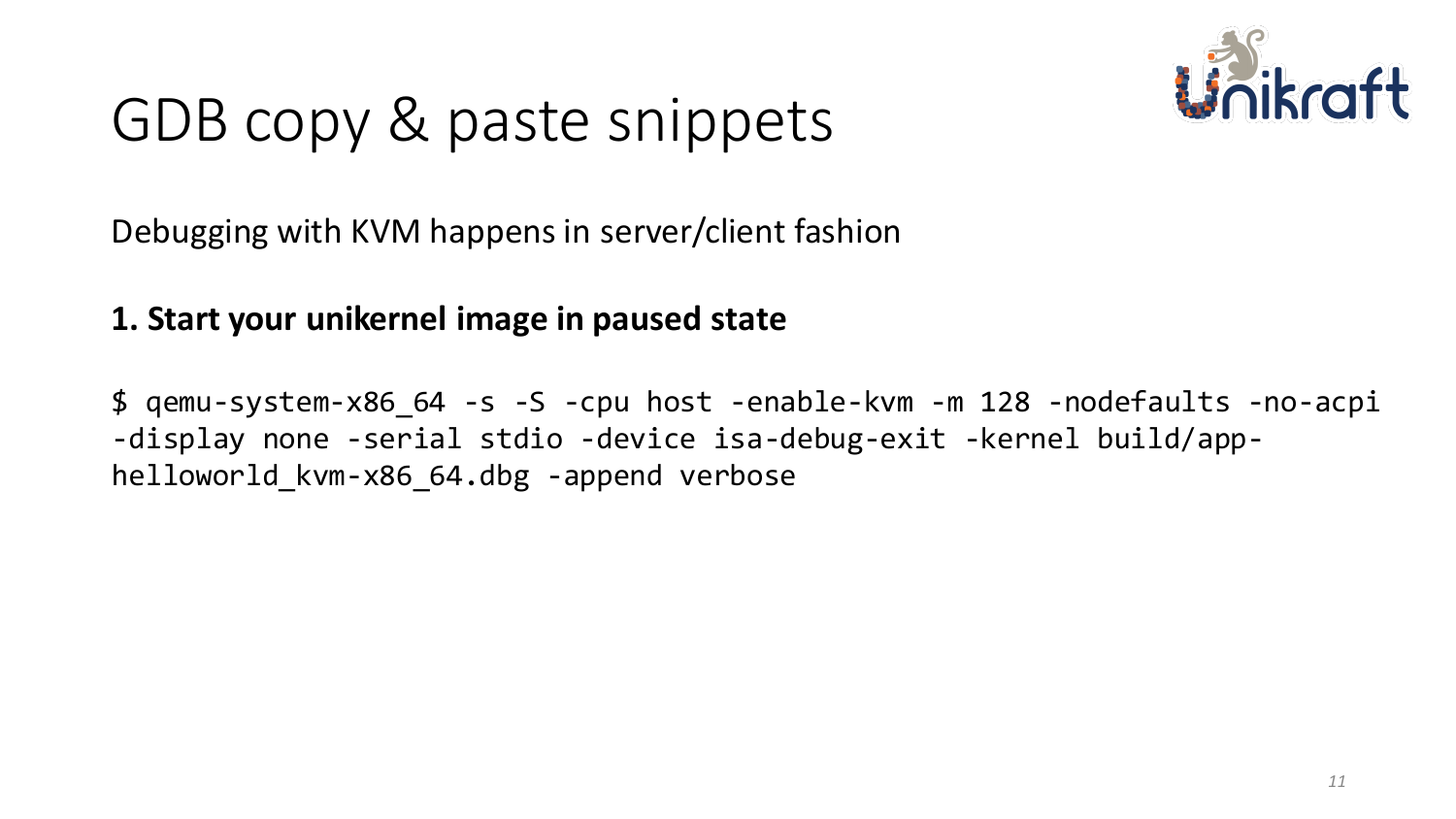

Debugging with KVM happens in server/client fashion

#### **1. Start your unikernel image in paused state**

\$ qemu-system-x86\_64 -s -S -cpu host -enable-kvm -m 128 -nodefaults -no-acpi -display none -serial stdio -device isa-debug-exit -kernel build/apphelloworld kvm-x86 64.dbg -append verbose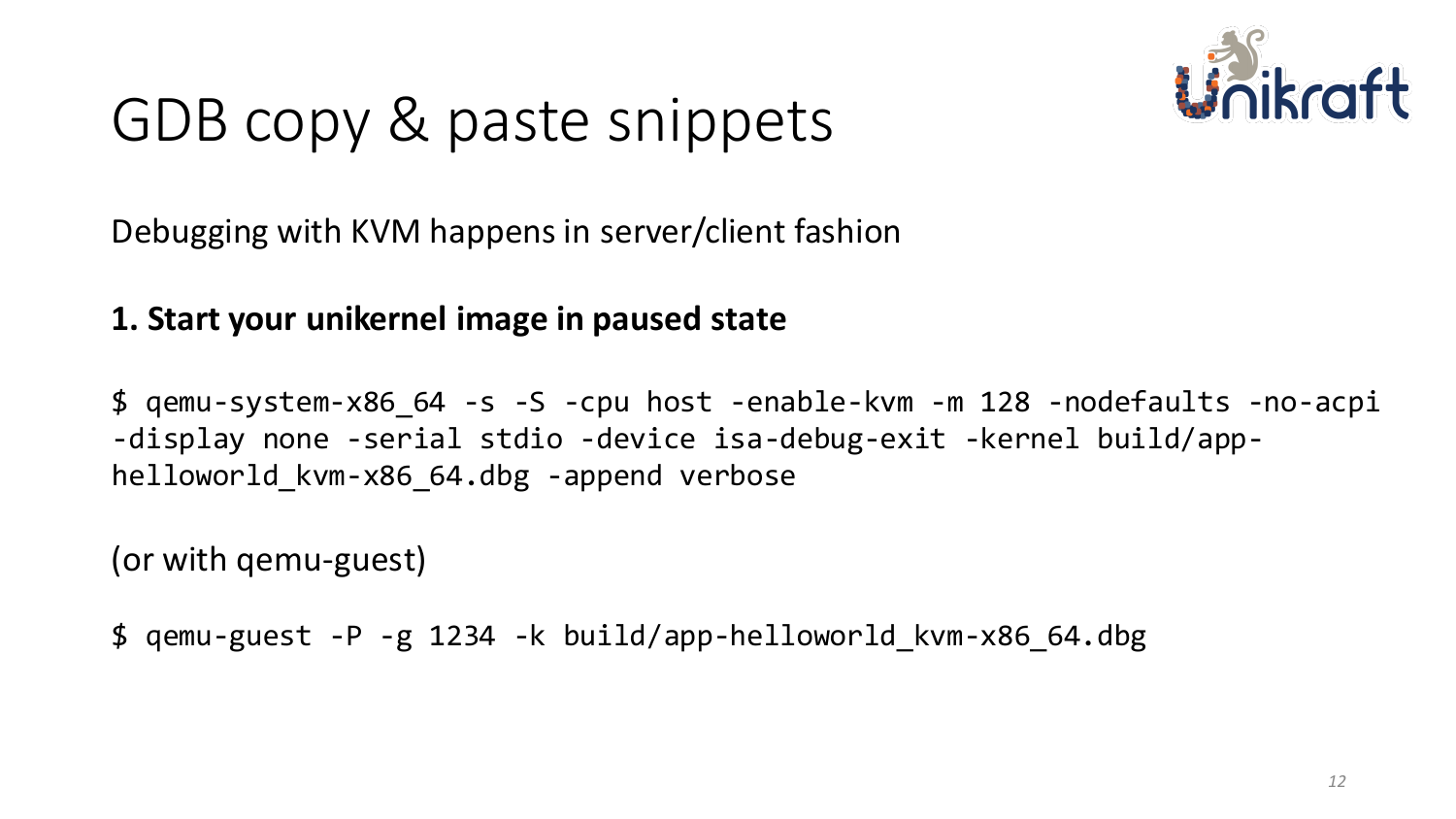

Debugging with KVM happens in server/client fashion

#### **1. Start your unikernel image in paused state**

\$ qemu-system-x86\_64 -s -S -cpu host -enable-kvm -m 128 -nodefaults -no-acpi -display none -serial stdio -device isa-debug-exit -kernel build/apphelloworld\_kvm-x86\_64.dbg -append verbose

(or with qemu-guest)

\$ qemu-guest -P -g 1234 -k build/app-helloworld\_kvm-x86\_64.dbg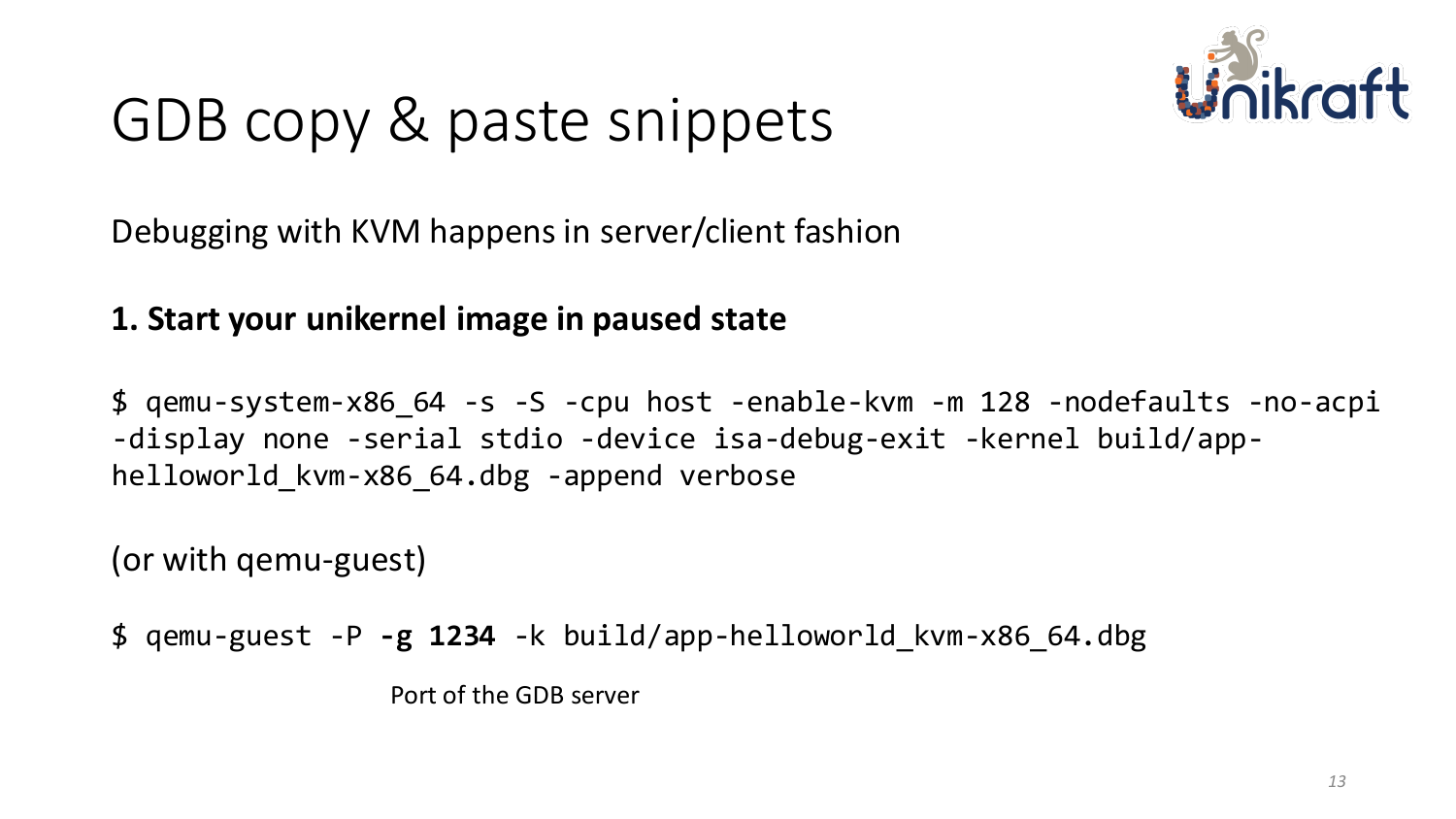

Debugging with KVM happens in server/client fashion

#### **1. Start your unikernel image in paused state**

\$ qemu-system-x86\_64 -s -S -cpu host -enable-kvm -m 128 -nodefaults -no-acpi -display none -serial stdio -device isa-debug-exit -kernel build/apphelloworld\_kvm-x86\_64.dbg -append verbose

(or with qemu-guest)

\$ qemu-guest -P **-g 1234** -k build/app-helloworld\_kvm-x86\_64.dbg

Port of the GDB server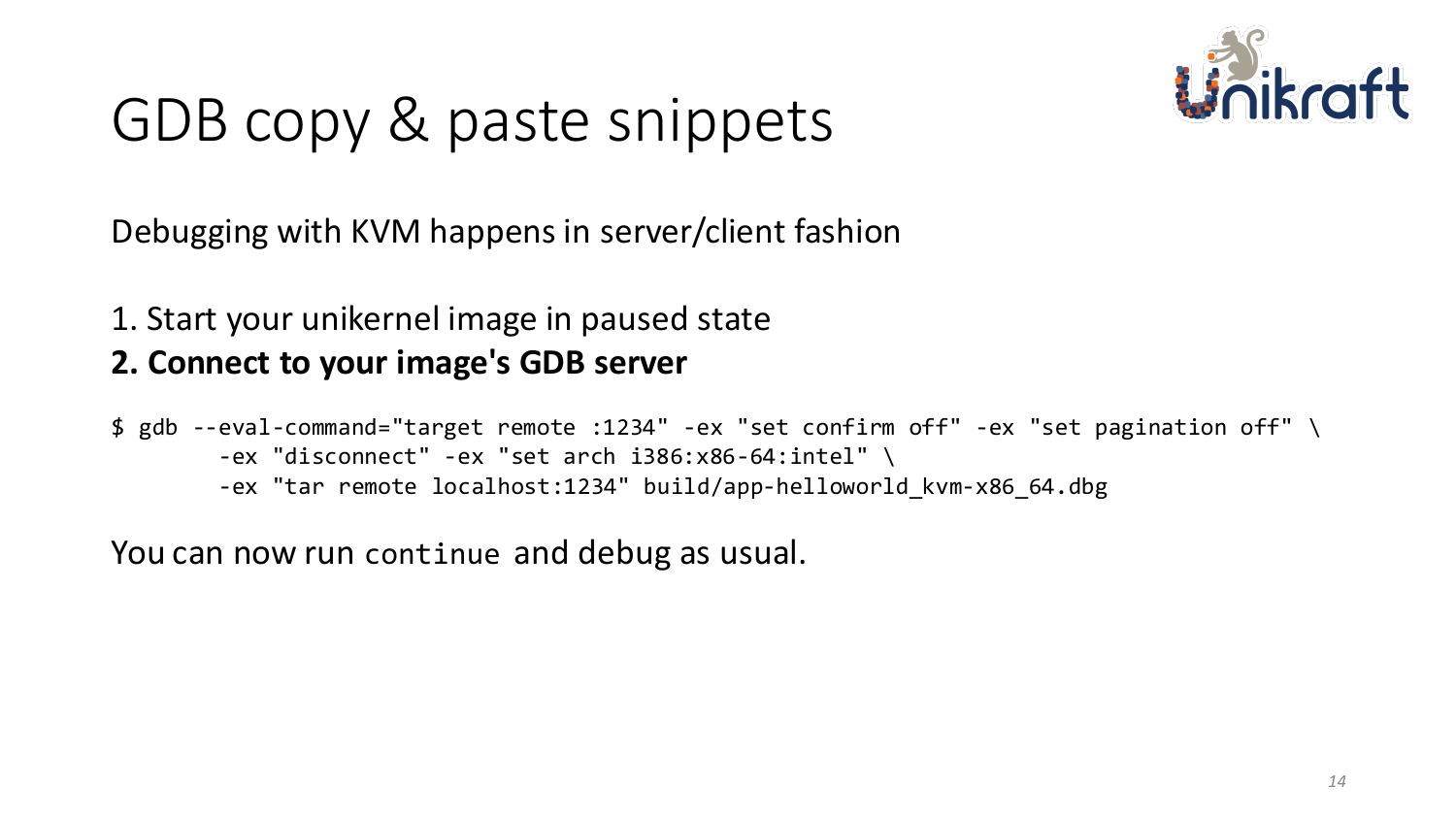

Debugging with KVM happens in server/client fashion

1. Start your unikernel image in paused state

#### **2. Connect to your image's GDB server**

\$ gdb --eval-command="target remote :1234" -ex "set confirm off" -ex "set pagination off" \ -ex "disconnect" -ex "set arch i386:x86-64:intel" \ -ex "tar remote localhost:1234" build/app-helloworld\_kvm-x86\_64.dbg

You can now run continue and debug as usual.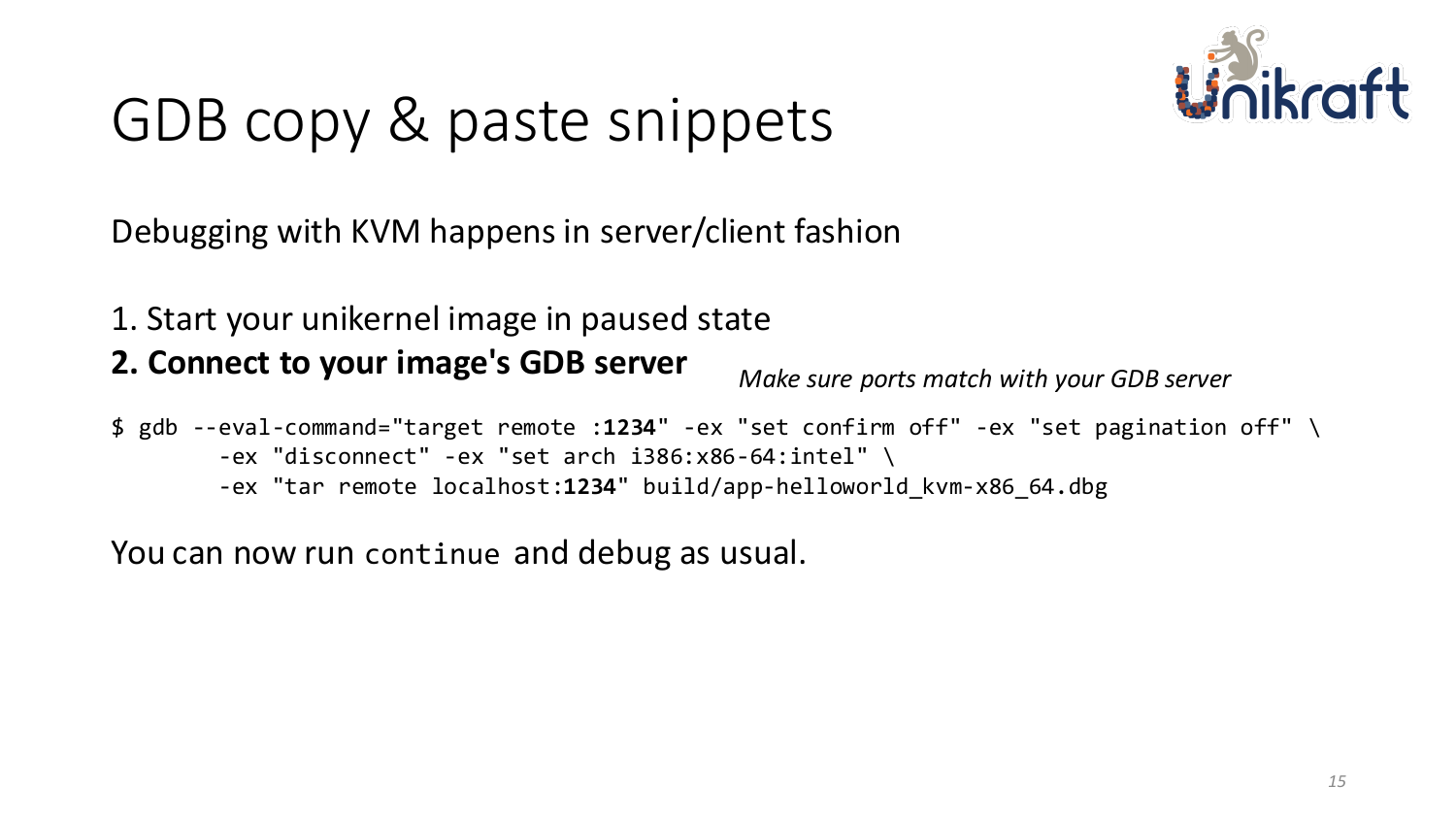

Debugging with KVM happens in server/client fashion

- 1. Start your unikernel image in paused state
- **2. Connect to your image's GDB server**

*Make sure ports match with your GDB server*

\$ gdb --eval-command="target remote :**1234**" -ex "set confirm off" -ex "set pagination off" \ -ex "disconnect" -ex "set arch i386:x86-64:intel" \ -ex "tar remote localhost:**1234**" build/app-helloworld\_kvm-x86\_64.dbg

You can now run continue and debug as usual.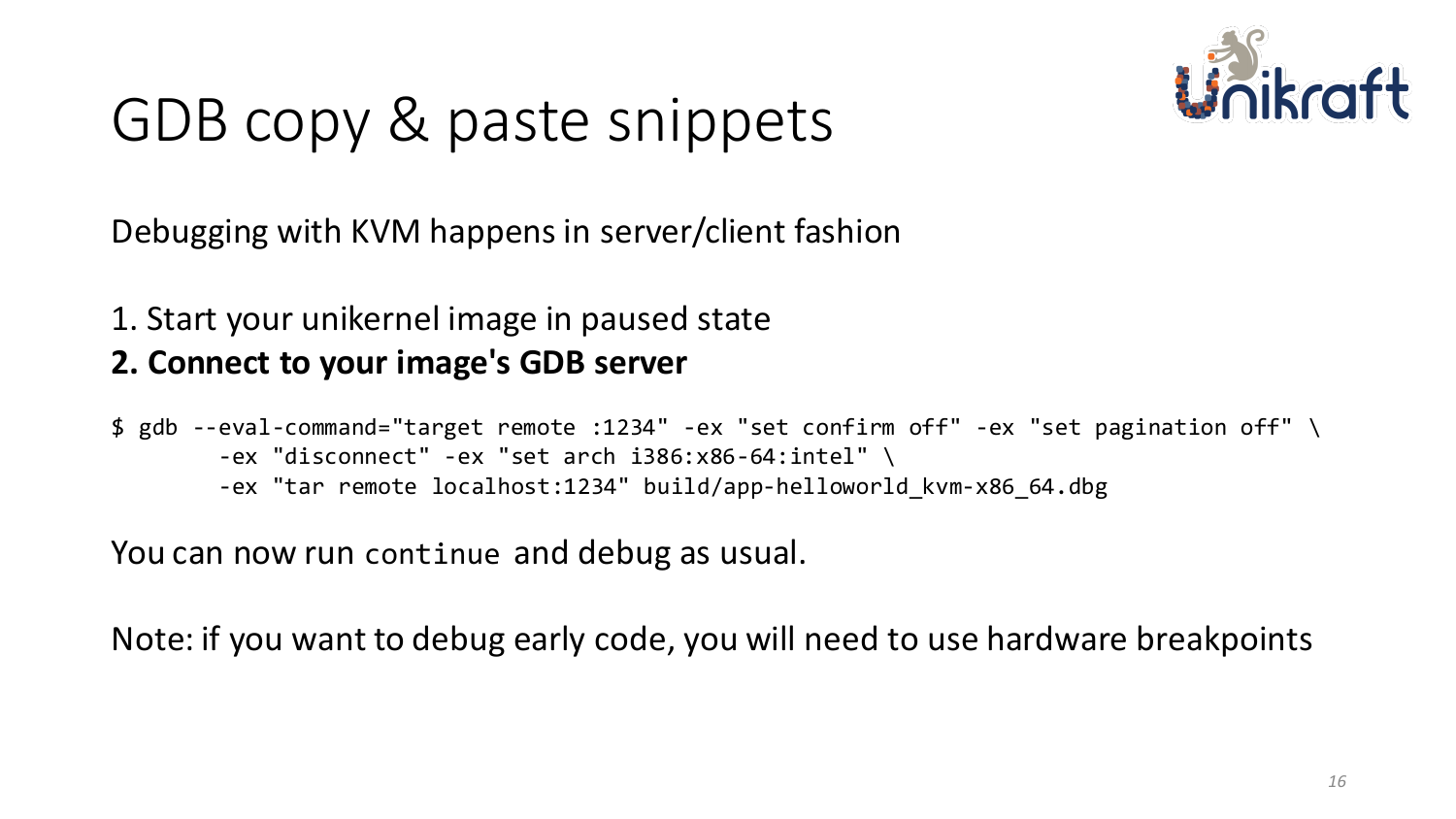

Debugging with KVM happens in server/client fashion

1. Start your unikernel image in paused state

#### **2. Connect to your image's GDB server**

\$ gdb --eval-command="target remote :1234" -ex "set confirm off" -ex "set pagination off" \ -ex "disconnect" -ex "set arch i386:x86-64:intel" \ -ex "tar remote localhost:1234" build/app-helloworld\_kvm-x86\_64.dbg

You can now run continue and debug as usual.

Note: if you want to debug early code, you will need to use hardware breakpoints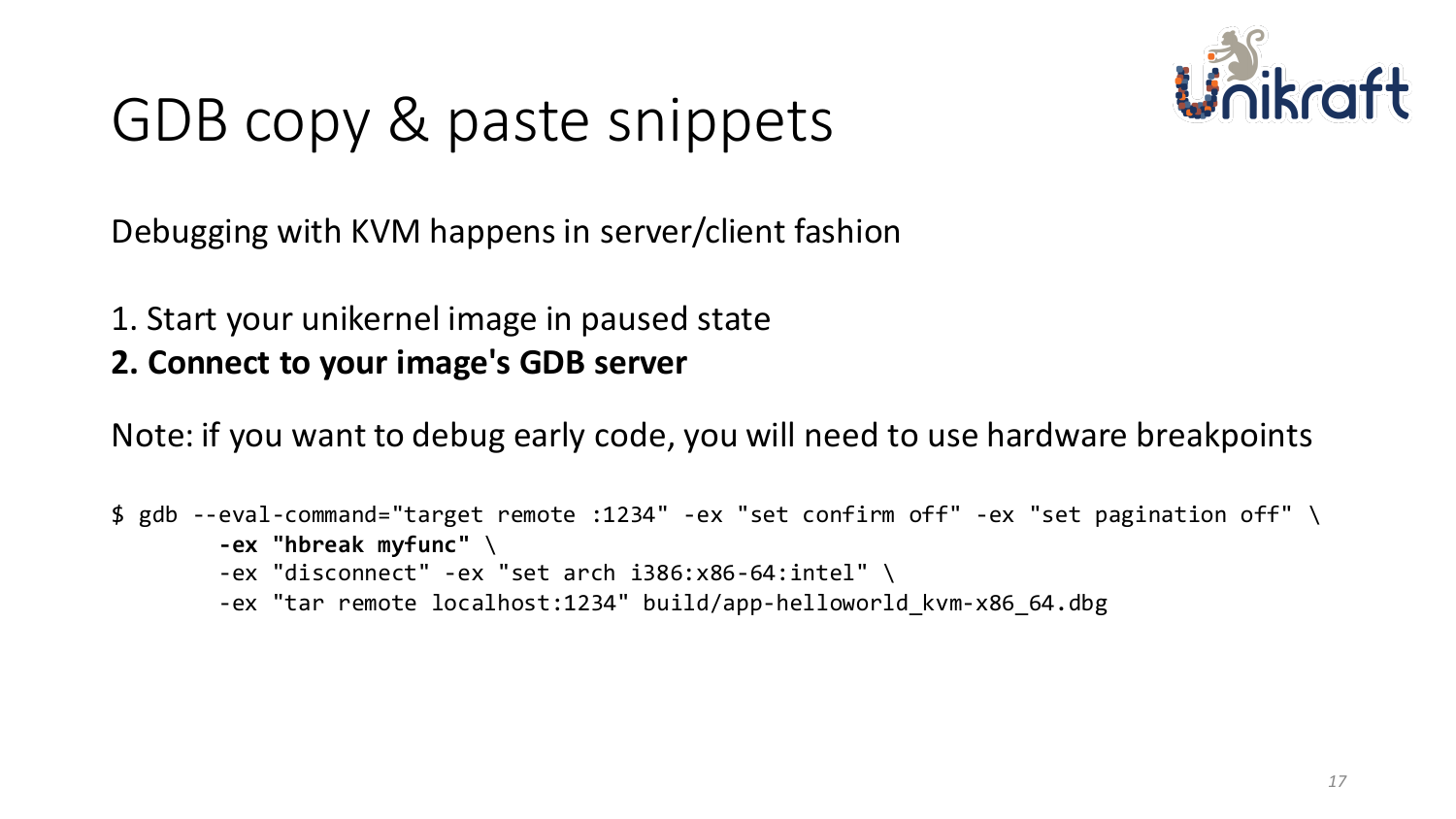

Debugging with KVM happens in server/client fashion

- 1. Start your unikernel image in paused state
- **2. Connect to your image's GDB server**

Note: if you want to debug early code, you will need to use hardware breakpoints

```
$ gdb --eval-command="target remote :1234" -ex "set confirm off" -ex "set pagination off" \
-ex "hbreak myfunc" \
-ex "disconnect" -ex "set arch i386:x86-64:intel" \
-ex "tar remote localhost:1234" build/app-helloworld_kvm-x86_64.dbg
```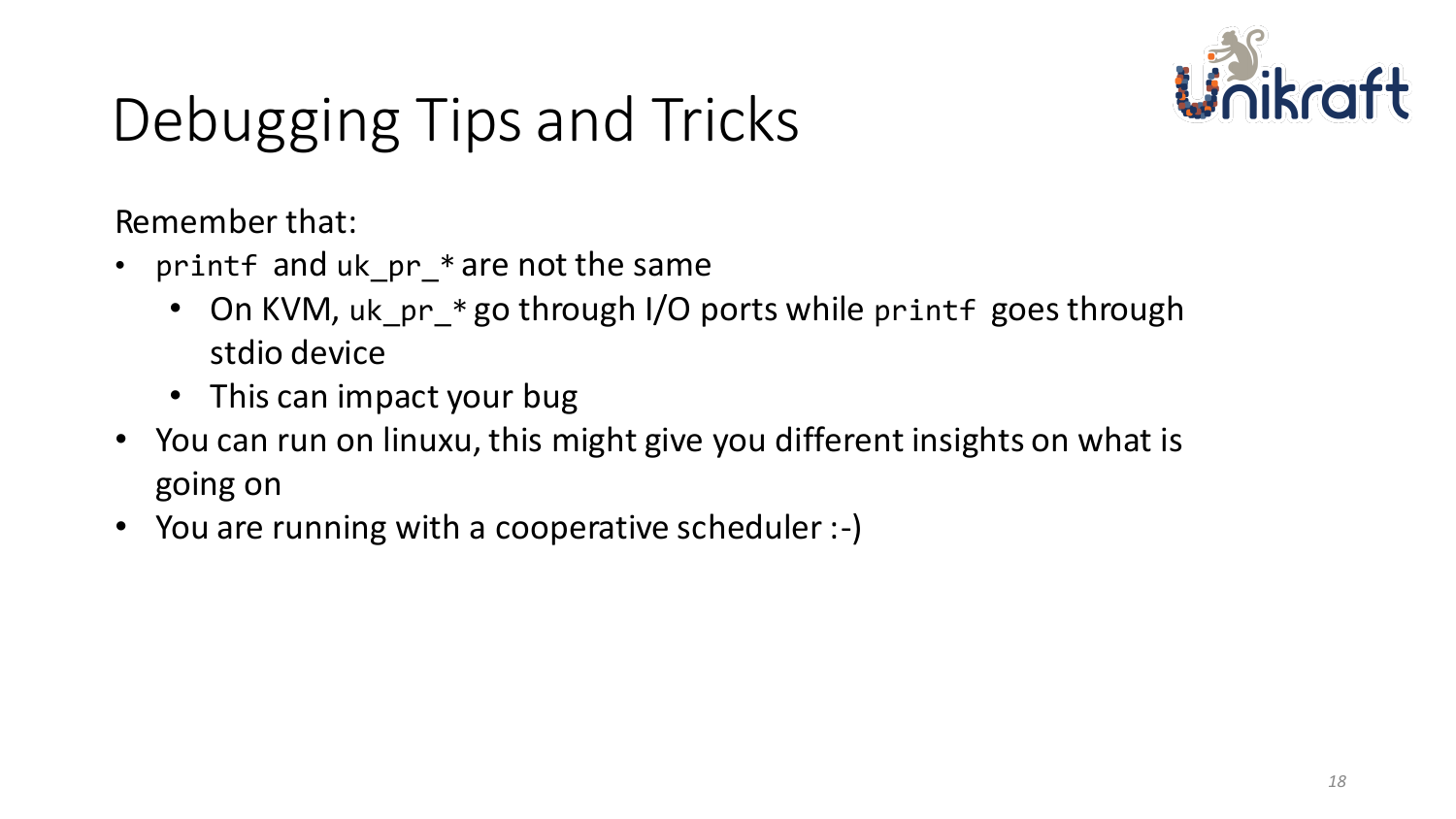

# Debugging Tips and Tricks

Remember that:

- printf and uk\_pr\_\* are not the same
	- On KVM, uk\_pr\_\* go through I/O ports while printf goes through stdio device
	- This can impact your bug
- You can run on linuxu, this might give you different insights on what is going on
- You are running with a cooperative scheduler :-)